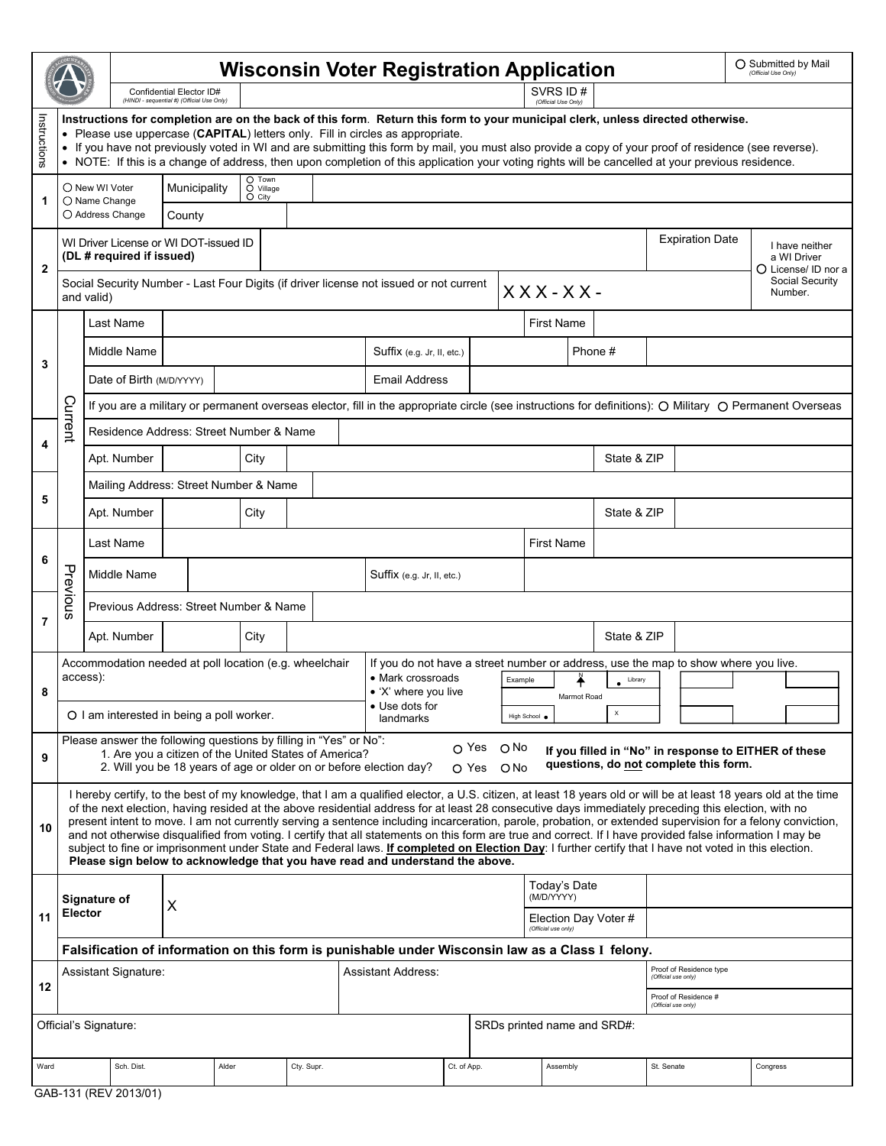|                                                      |                                                                                                                                                                                                                                                                                                                                                                                                                                                                                                                                |                                                                                                                                                                                                                                                                                                                                                                                                                                                                                                                                                                                                                                                                                                                                                                                                                                                                                               | <b>Wisconsin Voter Registration Application</b>                                                                                                         |              |                    |                                              |            |  |                                                                                                                                                                                                                                     |                   |                                                |                            |             |                                             |                            |                        | O Submitted by Mail<br>(Official Use Only) |  |                                                      |  |
|------------------------------------------------------|--------------------------------------------------------------------------------------------------------------------------------------------------------------------------------------------------------------------------------------------------------------------------------------------------------------------------------------------------------------------------------------------------------------------------------------------------------------------------------------------------------------------------------|-----------------------------------------------------------------------------------------------------------------------------------------------------------------------------------------------------------------------------------------------------------------------------------------------------------------------------------------------------------------------------------------------------------------------------------------------------------------------------------------------------------------------------------------------------------------------------------------------------------------------------------------------------------------------------------------------------------------------------------------------------------------------------------------------------------------------------------------------------------------------------------------------|---------------------------------------------------------------------------------------------------------------------------------------------------------|--------------|--------------------|----------------------------------------------|------------|--|-------------------------------------------------------------------------------------------------------------------------------------------------------------------------------------------------------------------------------------|-------------------|------------------------------------------------|----------------------------|-------------|---------------------------------------------|----------------------------|------------------------|--------------------------------------------|--|------------------------------------------------------|--|
|                                                      |                                                                                                                                                                                                                                                                                                                                                                                                                                                                                                                                |                                                                                                                                                                                                                                                                                                                                                                                                                                                                                                                                                                                                                                                                                                                                                                                                                                                                                               | Confidential Elector ID#<br>(HINDI - sequential #) (Official Use Only)                                                                                  |              |                    |                                              |            |  | SVRS ID#<br>(Official Use Only)                                                                                                                                                                                                     |                   |                                                |                            |             |                                             |                            |                        |                                            |  |                                                      |  |
| Instructions                                         | Instructions for completion are on the back of this form. Return this form to your municipal clerk, unless directed otherwise.<br>• Please use uppercase (CAPITAL) letters only. Fill in circles as appropriate.<br>• If you have not previously voted in WI and are submitting this form by mail, you must also provide a copy of your proof of residence (see reverse).<br>• NOTE: If this is a change of address, then upon completion of this application your voting rights will be cancelled at your previous residence. |                                                                                                                                                                                                                                                                                                                                                                                                                                                                                                                                                                                                                                                                                                                                                                                                                                                                                               |                                                                                                                                                         |              |                    |                                              |            |  |                                                                                                                                                                                                                                     |                   |                                                |                            |             |                                             |                            |                        |                                            |  |                                                      |  |
|                                                      |                                                                                                                                                                                                                                                                                                                                                                                                                                                                                                                                | ○ New WI Voter                                                                                                                                                                                                                                                                                                                                                                                                                                                                                                                                                                                                                                                                                                                                                                                                                                                                                |                                                                                                                                                         | Municipality |                    | O Town<br>$\overline{O}$ Village<br>$O$ City |            |  |                                                                                                                                                                                                                                     |                   |                                                |                            |             |                                             |                            |                        |                                            |  |                                                      |  |
| 1                                                    |                                                                                                                                                                                                                                                                                                                                                                                                                                                                                                                                | O Name Change                                                                                                                                                                                                                                                                                                                                                                                                                                                                                                                                                                                                                                                                                                                                                                                                                                                                                 | ○ Address Change                                                                                                                                        | County       |                    |                                              |            |  |                                                                                                                                                                                                                                     |                   |                                                |                            |             |                                             |                            |                        |                                            |  |                                                      |  |
| $\overline{2}$                                       | WI Driver License or WI DOT-issued ID<br>(DL # required if issued)                                                                                                                                                                                                                                                                                                                                                                                                                                                             |                                                                                                                                                                                                                                                                                                                                                                                                                                                                                                                                                                                                                                                                                                                                                                                                                                                                                               |                                                                                                                                                         |              |                    |                                              |            |  |                                                                                                                                                                                                                                     |                   |                                                |                            |             |                                             |                            | <b>Expiration Date</b> |                                            |  | I have neither<br>a WI Driver<br>O License/ ID nor a |  |
|                                                      | Social Security Number - Last Four Digits (if driver license not issued or not current<br>$XXX-XX$ -<br>and valid)                                                                                                                                                                                                                                                                                                                                                                                                             |                                                                                                                                                                                                                                                                                                                                                                                                                                                                                                                                                                                                                                                                                                                                                                                                                                                                                               |                                                                                                                                                         |              |                    |                                              |            |  |                                                                                                                                                                                                                                     |                   |                                                |                            |             |                                             | Social Security<br>Number. |                        |                                            |  |                                                      |  |
| 3                                                    |                                                                                                                                                                                                                                                                                                                                                                                                                                                                                                                                |                                                                                                                                                                                                                                                                                                                                                                                                                                                                                                                                                                                                                                                                                                                                                                                                                                                                                               | Last Name                                                                                                                                               |              |                    |                                              |            |  |                                                                                                                                                                                                                                     | <b>First Name</b> |                                                |                            |             |                                             |                            |                        |                                            |  |                                                      |  |
|                                                      |                                                                                                                                                                                                                                                                                                                                                                                                                                                                                                                                |                                                                                                                                                                                                                                                                                                                                                                                                                                                                                                                                                                                                                                                                                                                                                                                                                                                                                               | Middle Name                                                                                                                                             |              |                    |                                              |            |  | Suffix (e.g. Jr, II, etc.)                                                                                                                                                                                                          |                   |                                                |                            |             | Phone #                                     |                            |                        |                                            |  |                                                      |  |
|                                                      |                                                                                                                                                                                                                                                                                                                                                                                                                                                                                                                                |                                                                                                                                                                                                                                                                                                                                                                                                                                                                                                                                                                                                                                                                                                                                                                                                                                                                                               | Date of Birth (M/D/YYYY)                                                                                                                                |              |                    |                                              |            |  | <b>Email Address</b>                                                                                                                                                                                                                |                   |                                                |                            |             |                                             |                            |                        |                                            |  |                                                      |  |
|                                                      | Current                                                                                                                                                                                                                                                                                                                                                                                                                                                                                                                        |                                                                                                                                                                                                                                                                                                                                                                                                                                                                                                                                                                                                                                                                                                                                                                                                                                                                                               | If you are a military or permanent overseas elector, fill in the appropriate circle (see instructions for definitions): O Military O Permanent Overseas |              |                    |                                              |            |  |                                                                                                                                                                                                                                     |                   |                                                |                            |             |                                             |                            |                        |                                            |  |                                                      |  |
| 4<br>5                                               |                                                                                                                                                                                                                                                                                                                                                                                                                                                                                                                                |                                                                                                                                                                                                                                                                                                                                                                                                                                                                                                                                                                                                                                                                                                                                                                                                                                                                                               | Residence Address: Street Number & Name                                                                                                                 |              |                    |                                              |            |  |                                                                                                                                                                                                                                     |                   |                                                |                            |             |                                             |                            |                        |                                            |  |                                                      |  |
|                                                      |                                                                                                                                                                                                                                                                                                                                                                                                                                                                                                                                |                                                                                                                                                                                                                                                                                                                                                                                                                                                                                                                                                                                                                                                                                                                                                                                                                                                                                               | Apt. Number                                                                                                                                             |              |                    | City                                         |            |  |                                                                                                                                                                                                                                     |                   |                                                |                            |             |                                             | State & ZIP                |                        |                                            |  |                                                      |  |
|                                                      |                                                                                                                                                                                                                                                                                                                                                                                                                                                                                                                                |                                                                                                                                                                                                                                                                                                                                                                                                                                                                                                                                                                                                                                                                                                                                                                                                                                                                                               | Mailing Address: Street Number & Name                                                                                                                   |              |                    |                                              |            |  |                                                                                                                                                                                                                                     |                   |                                                |                            |             |                                             |                            |                        |                                            |  |                                                      |  |
|                                                      |                                                                                                                                                                                                                                                                                                                                                                                                                                                                                                                                |                                                                                                                                                                                                                                                                                                                                                                                                                                                                                                                                                                                                                                                                                                                                                                                                                                                                                               | Apt. Number                                                                                                                                             |              |                    |                                              |            |  |                                                                                                                                                                                                                                     |                   |                                                |                            |             | State & ZIP                                 |                            |                        |                                            |  |                                                      |  |
| 6<br>$\overline{7}$                                  | Previous                                                                                                                                                                                                                                                                                                                                                                                                                                                                                                                       |                                                                                                                                                                                                                                                                                                                                                                                                                                                                                                                                                                                                                                                                                                                                                                                                                                                                                               | Last Name                                                                                                                                               |              |                    |                                              |            |  |                                                                                                                                                                                                                                     |                   |                                                | <b>First Name</b>          |             |                                             |                            |                        |                                            |  |                                                      |  |
|                                                      |                                                                                                                                                                                                                                                                                                                                                                                                                                                                                                                                |                                                                                                                                                                                                                                                                                                                                                                                                                                                                                                                                                                                                                                                                                                                                                                                                                                                                                               | Middle Name                                                                                                                                             |              |                    |                                              |            |  | Suffix (e.g. Jr, II, etc.)                                                                                                                                                                                                          |                   |                                                |                            |             |                                             |                            |                        |                                            |  |                                                      |  |
|                                                      |                                                                                                                                                                                                                                                                                                                                                                                                                                                                                                                                |                                                                                                                                                                                                                                                                                                                                                                                                                                                                                                                                                                                                                                                                                                                                                                                                                                                                                               | Previous Address: Street Number & Name                                                                                                                  |              |                    |                                              |            |  |                                                                                                                                                                                                                                     |                   |                                                |                            |             |                                             |                            |                        |                                            |  |                                                      |  |
|                                                      |                                                                                                                                                                                                                                                                                                                                                                                                                                                                                                                                |                                                                                                                                                                                                                                                                                                                                                                                                                                                                                                                                                                                                                                                                                                                                                                                                                                                                                               | Apt. Number                                                                                                                                             |              |                    | City                                         |            |  |                                                                                                                                                                                                                                     |                   |                                                |                            | State & ZIP |                                             |                            |                        |                                            |  |                                                      |  |
| 8                                                    | access):                                                                                                                                                                                                                                                                                                                                                                                                                                                                                                                       |                                                                                                                                                                                                                                                                                                                                                                                                                                                                                                                                                                                                                                                                                                                                                                                                                                                                                               | Accommodation needed at poll location (e.g. wheelchair<br>O I am interested in being a poll worker.                                                     |              |                    |                                              |            |  | If you do not have a street number or address, use the map to show where you live.<br>• Mark crossroads<br>Example<br>Library<br>• 'X' where you live<br>Marmot Road<br>• Use dots for<br>$\mathsf X$<br>High School .<br>landmarks |                   |                                                |                            |             |                                             |                            |                        |                                            |  |                                                      |  |
|                                                      |                                                                                                                                                                                                                                                                                                                                                                                                                                                                                                                                |                                                                                                                                                                                                                                                                                                                                                                                                                                                                                                                                                                                                                                                                                                                                                                                                                                                                                               | Please answer the following questions by filling in "Yes" or No":                                                                                       |              |                    |                                              |            |  |                                                                                                                                                                                                                                     |                   | $\circ$ Yes                                    | O No                       |             |                                             |                            |                        |                                            |  |                                                      |  |
| 9                                                    |                                                                                                                                                                                                                                                                                                                                                                                                                                                                                                                                | If you filled in "No" in response to EITHER of these<br>1. Are you a citizen of the United States of America?<br>questions, do not complete this form.<br>2. Will you be 18 years of age or older on or before election day?<br>O Yes<br>O No                                                                                                                                                                                                                                                                                                                                                                                                                                                                                                                                                                                                                                                 |                                                                                                                                                         |              |                    |                                              |            |  |                                                                                                                                                                                                                                     |                   |                                                |                            |             |                                             |                            |                        |                                            |  |                                                      |  |
| 10                                                   |                                                                                                                                                                                                                                                                                                                                                                                                                                                                                                                                | I hereby certify, to the best of my knowledge, that I am a qualified elector, a U.S. citizen, at least 18 years old or will be at least 18 years old at the time<br>of the next election, having resided at the above residential address for at least 28 consecutive days immediately preceding this election, with no<br>present intent to move. I am not currently serving a sentence including incarceration, parole, probation, or extended supervision for a felony conviction,<br>and not otherwise disqualified from voting. I certify that all statements on this form are true and correct. If I have provided false information I may be<br>subject to fine or imprisonment under State and Federal laws. If completed on Election Day: I further certify that I have not voted in this election.<br>Please sign below to acknowledge that you have read and understand the above. |                                                                                                                                                         |              |                    |                                              |            |  |                                                                                                                                                                                                                                     |                   |                                                |                            |             |                                             |                            |                        |                                            |  |                                                      |  |
|                                                      |                                                                                                                                                                                                                                                                                                                                                                                                                                                                                                                                | Signature of                                                                                                                                                                                                                                                                                                                                                                                                                                                                                                                                                                                                                                                                                                                                                                                                                                                                                  |                                                                                                                                                         |              |                    |                                              |            |  |                                                                                                                                                                                                                                     |                   |                                                | Today's Date<br>(M/D/YYYY) |             |                                             |                            |                        |                                            |  |                                                      |  |
| 11                                                   | Elector                                                                                                                                                                                                                                                                                                                                                                                                                                                                                                                        |                                                                                                                                                                                                                                                                                                                                                                                                                                                                                                                                                                                                                                                                                                                                                                                                                                                                                               | X<br>Election Day Voter #<br>(Official use only)                                                                                                        |              |                    |                                              |            |  |                                                                                                                                                                                                                                     |                   |                                                |                            |             |                                             |                            |                        |                                            |  |                                                      |  |
|                                                      | Falsification of information on this form is punishable under Wisconsin law as a Class I felony.                                                                                                                                                                                                                                                                                                                                                                                                                               |                                                                                                                                                                                                                                                                                                                                                                                                                                                                                                                                                                                                                                                                                                                                                                                                                                                                                               |                                                                                                                                                         |              |                    |                                              |            |  |                                                                                                                                                                                                                                     |                   |                                                |                            |             |                                             |                            |                        |                                            |  |                                                      |  |
| 12                                                   |                                                                                                                                                                                                                                                                                                                                                                                                                                                                                                                                |                                                                                                                                                                                                                                                                                                                                                                                                                                                                                                                                                                                                                                                                                                                                                                                                                                                                                               | Assistant Signature:                                                                                                                                    |              | Assistant Address: |                                              |            |  |                                                                                                                                                                                                                                     |                   | Proof of Residence type<br>(Official use only) |                            |             |                                             |                            |                        |                                            |  |                                                      |  |
|                                                      |                                                                                                                                                                                                                                                                                                                                                                                                                                                                                                                                |                                                                                                                                                                                                                                                                                                                                                                                                                                                                                                                                                                                                                                                                                                                                                                                                                                                                                               |                                                                                                                                                         |              |                    |                                              |            |  |                                                                                                                                                                                                                                     |                   |                                                |                            |             | Proof of Residence #<br>(Official use only) |                            |                        |                                            |  |                                                      |  |
| Official's Signature:<br>SRDs printed name and SRD#: |                                                                                                                                                                                                                                                                                                                                                                                                                                                                                                                                |                                                                                                                                                                                                                                                                                                                                                                                                                                                                                                                                                                                                                                                                                                                                                                                                                                                                                               |                                                                                                                                                         |              |                    |                                              |            |  |                                                                                                                                                                                                                                     |                   |                                                |                            |             |                                             |                            |                        |                                            |  |                                                      |  |
| Ward                                                 |                                                                                                                                                                                                                                                                                                                                                                                                                                                                                                                                |                                                                                                                                                                                                                                                                                                                                                                                                                                                                                                                                                                                                                                                                                                                                                                                                                                                                                               | Sch. Dist.                                                                                                                                              |              | Alder              |                                              | Cty. Supr. |  |                                                                                                                                                                                                                                     |                   | Ct. of App.                                    |                            |             | Assembly                                    |                            | St. Senate             |                                            |  | Congress                                             |  |